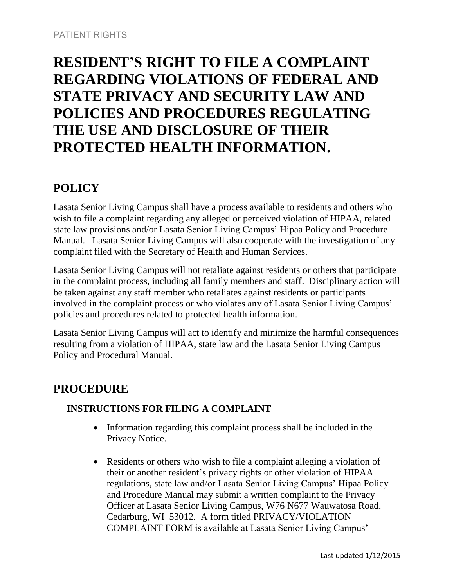## **RESIDENT'S RIGHT TO FILE A COMPLAINT REGARDING VIOLATIONS OF FEDERAL AND STATE PRIVACY AND SECURITY LAW AND POLICIES AND PROCEDURES REGULATING THE USE AND DISCLOSURE OF THEIR PROTECTED HEALTH INFORMATION.**

## **POLICY**

Lasata Senior Living Campus shall have a process available to residents and others who wish to file a complaint regarding any alleged or perceived violation of HIPAA, related state law provisions and/or Lasata Senior Living Campus' Hipaa Policy and Procedure Manual. Lasata Senior Living Campus will also cooperate with the investigation of any complaint filed with the Secretary of Health and Human Services.

Lasata Senior Living Campus will not retaliate against residents or others that participate in the complaint process, including all family members and staff. Disciplinary action will be taken against any staff member who retaliates against residents or participants involved in the complaint process or who violates any of Lasata Senior Living Campus' policies and procedures related to protected health information.

Lasata Senior Living Campus will act to identify and minimize the harmful consequences resulting from a violation of HIPAA, state law and the Lasata Senior Living Campus Policy and Procedural Manual.

## **PROCEDURE**

## **INSTRUCTIONS FOR FILING A COMPLAINT**

- Information regarding this complaint process shall be included in the Privacy Notice.
- Residents or others who wish to file a complaint alleging a violation of their or another resident's privacy rights or other violation of HIPAA regulations, state law and/or Lasata Senior Living Campus' Hipaa Policy and Procedure Manual may submit a written complaint to the Privacy Officer at Lasata Senior Living Campus, W76 N677 Wauwatosa Road, Cedarburg, WI 53012. A form titled PRIVACY/VIOLATION COMPLAINT FORM is available at Lasata Senior Living Campus'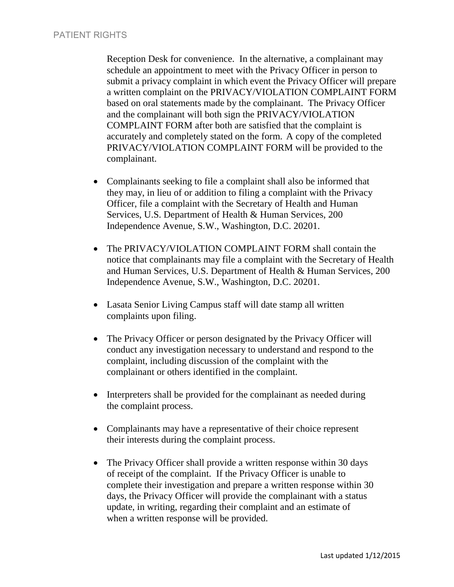Reception Desk for convenience. In the alternative, a complainant may schedule an appointment to meet with the Privacy Officer in person to submit a privacy complaint in which event the Privacy Officer will prepare a written complaint on the PRIVACY/VIOLATION COMPLAINT FORM based on oral statements made by the complainant. The Privacy Officer and the complainant will both sign the PRIVACY/VIOLATION COMPLAINT FORM after both are satisfied that the complaint is accurately and completely stated on the form. A copy of the completed PRIVACY/VIOLATION COMPLAINT FORM will be provided to the complainant.

- Complainants seeking to file a complaint shall also be informed that they may, in lieu of or addition to filing a complaint with the Privacy Officer, file a complaint with the Secretary of Health and Human Services, U.S. Department of Health & Human Services, 200 Independence Avenue, S.W., Washington, D.C. 20201.
- The PRIVACY/VIOLATION COMPLAINT FORM shall contain the notice that complainants may file a complaint with the Secretary of Health and Human Services, U.S. Department of Health & Human Services, 200 Independence Avenue, S.W., Washington, D.C. 20201.
- Lasata Senior Living Campus staff will date stamp all written complaints upon filing.
- The Privacy Officer or person designated by the Privacy Officer will conduct any investigation necessary to understand and respond to the complaint, including discussion of the complaint with the complainant or others identified in the complaint.
- Interpreters shall be provided for the complainant as needed during the complaint process.
- Complainants may have a representative of their choice represent their interests during the complaint process.
- The Privacy Officer shall provide a written response within 30 days of receipt of the complaint. If the Privacy Officer is unable to complete their investigation and prepare a written response within 30 days, the Privacy Officer will provide the complainant with a status update, in writing, regarding their complaint and an estimate of when a written response will be provided.